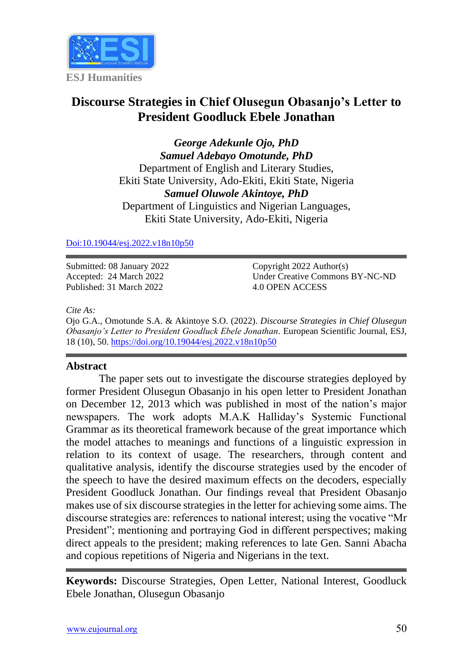

# **Discourse Strategies in Chief Olusegun Obasanjo's Letter to President Goodluck Ebele Jonathan**

*George Adekunle Ojo, PhD Samuel Adebayo Omotunde, PhD* Department of English and Literary Studies, Ekiti State University, Ado-Ekiti, Ekiti State, Nigeria *Samuel Oluwole Akintoye, PhD* Department of Linguistics and Nigerian Languages, Ekiti State University, Ado-Ekiti, Nigeria

[Doi:10.19044/esj.2022.v18n10p50](https://doi.org/10.19044/esj.2022.v18n10p50)

Submitted: 08 January 2022 Accepted: 24 March 2022 Published: 31 March 2022

Copyright 2022 Author(s) Under Creative Commons BY-NC-ND 4.0 OPEN ACCESS

*Cite As:*

Ojo G.A., Omotunde S.A. & Akintoye S.O. (2022). *Discourse Strategies in Chief Olusegun Obasanjo's Letter to President Goodluck Ebele Jonathan.* European Scientific Journal, ESJ, 18 (10), 50. <https://doi.org/10.19044/esj.2022.v18n10p50>

#### **Abstract**

The paper sets out to investigate the discourse strategies deployed by former President Olusegun Obasanjo in his open letter to President Jonathan on December 12, 2013 which was published in most of the nation's major newspapers. The work adopts M.A.K Halliday's Systemic Functional Grammar as its theoretical framework because of the great importance which the model attaches to meanings and functions of a linguistic expression in relation to its context of usage. The researchers, through content and qualitative analysis, identify the discourse strategies used by the encoder of the speech to have the desired maximum effects on the decoders, especially President Goodluck Jonathan. Our findings reveal that President Obasanjo makes use of six discourse strategies in the letter for achieving some aims. The discourse strategies are: references to national interest; using the vocative "Mr President"; mentioning and portraying God in different perspectives; making direct appeals to the president; making references to late Gen. Sanni Abacha and copious repetitions of Nigeria and Nigerians in the text.

**Keywords:** Discourse Strategies, Open Letter, National Interest, Goodluck Ebele Jonathan, Olusegun Obasanjo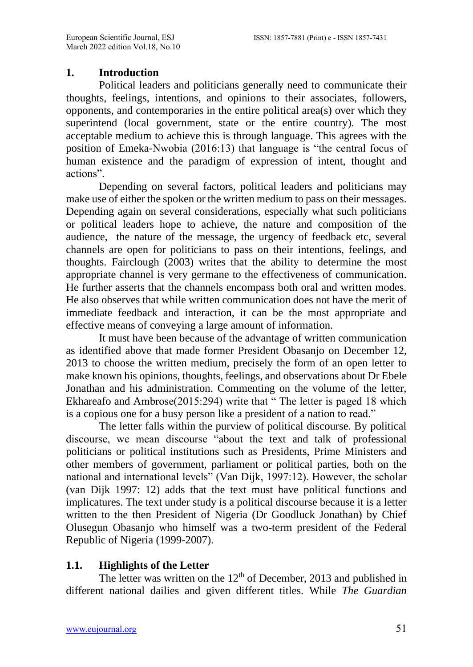## **1. Introduction**

Political leaders and politicians generally need to communicate their thoughts, feelings, intentions, and opinions to their associates, followers, opponents, and contemporaries in the entire political area(s) over which they superintend (local government, state or the entire country). The most acceptable medium to achieve this is through language. This agrees with the position of Emeka-Nwobia (2016:13) that language is "the central focus of human existence and the paradigm of expression of intent, thought and actions".

Depending on several factors, political leaders and politicians may make use of either the spoken or the written medium to pass on their messages. Depending again on several considerations, especially what such politicians or political leaders hope to achieve, the nature and composition of the audience, the nature of the message, the urgency of feedback etc, several channels are open for politicians to pass on their intentions, feelings, and thoughts. Fairclough (2003) writes that the ability to determine the most appropriate channel is very germane to the effectiveness of communication. He further asserts that the channels encompass both oral and written modes. He also observes that while written communication does not have the merit of immediate feedback and interaction, it can be the most appropriate and effective means of conveying a large amount of information.

It must have been because of the advantage of written communication as identified above that made former President Obasanjo on December 12, 2013 to choose the written medium, precisely the form of an open letter to make known his opinions, thoughts, feelings, and observations about Dr Ebele Jonathan and his administration. Commenting on the volume of the letter, Ekhareafo and Ambrose(2015:294) write that " The letter is paged 18 which is a copious one for a busy person like a president of a nation to read."

The letter falls within the purview of political discourse. By political discourse, we mean discourse "about the text and talk of professional politicians or political institutions such as Presidents, Prime Ministers and other members of government, parliament or political parties, both on the national and international levels" (Van Dijk, 1997:12). However, the scholar (van Dijk 1997: 12) adds that the text must have political functions and implicatures. The text under study is a political discourse because it is a letter written to the then President of Nigeria (Dr Goodluck Jonathan) by Chief Olusegun Obasanjo who himself was a two-term president of the Federal Republic of Nigeria (1999-2007).

## **1.1. Highlights of the Letter**

The letter was written on the  $12<sup>th</sup>$  of December, 2013 and published in different national dailies and given different titles. While *The Guardian*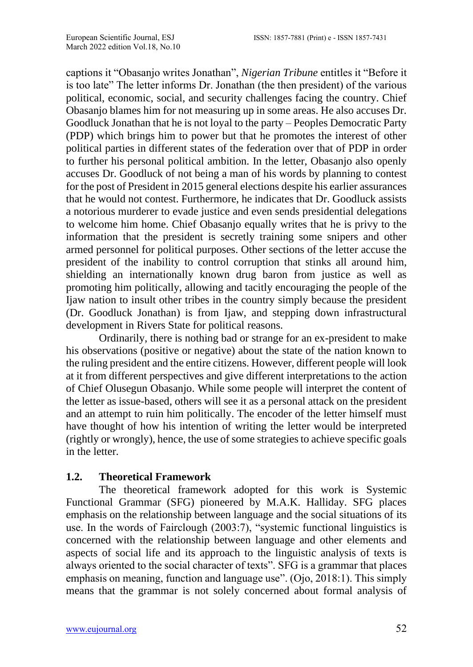captions it "Obasanjo writes Jonathan", *Nigerian Tribune* entitles it "Before it is too late" The letter informs Dr. Jonathan (the then president) of the various political, economic, social, and security challenges facing the country. Chief Obasanjo blames him for not measuring up in some areas. He also accuses Dr. Goodluck Jonathan that he is not loyal to the party – Peoples Democratic Party (PDP) which brings him to power but that he promotes the interest of other political parties in different states of the federation over that of PDP in order to further his personal political ambition. In the letter, Obasanjo also openly accuses Dr. Goodluck of not being a man of his words by planning to contest for the post of President in 2015 general elections despite his earlier assurances that he would not contest. Furthermore, he indicates that Dr. Goodluck assists a notorious murderer to evade justice and even sends presidential delegations to welcome him home. Chief Obasanjo equally writes that he is privy to the information that the president is secretly training some snipers and other armed personnel for political purposes. Other sections of the letter accuse the president of the inability to control corruption that stinks all around him, shielding an internationally known drug baron from justice as well as promoting him politically, allowing and tacitly encouraging the people of the Ijaw nation to insult other tribes in the country simply because the president (Dr. Goodluck Jonathan) is from Ijaw, and stepping down infrastructural development in Rivers State for political reasons.

Ordinarily, there is nothing bad or strange for an ex-president to make his observations (positive or negative) about the state of the nation known to the ruling president and the entire citizens. However, different people will look at it from different perspectives and give different interpretations to the action of Chief Olusegun Obasanjo. While some people will interpret the content of the letter as issue-based, others will see it as a personal attack on the president and an attempt to ruin him politically. The encoder of the letter himself must have thought of how his intention of writing the letter would be interpreted (rightly or wrongly), hence, the use of some strategies to achieve specific goals in the letter.

#### **1.2. Theoretical Framework**

The theoretical framework adopted for this work is Systemic Functional Grammar (SFG) pioneered by M.A.K. Halliday. SFG places emphasis on the relationship between language and the social situations of its use. In the words of Fairclough (2003:7), "systemic functional linguistics is concerned with the relationship between language and other elements and aspects of social life and its approach to the linguistic analysis of texts is always oriented to the social character of texts". SFG is a grammar that places emphasis on meaning, function and language use". (Ojo, 2018:1). This simply means that the grammar is not solely concerned about formal analysis of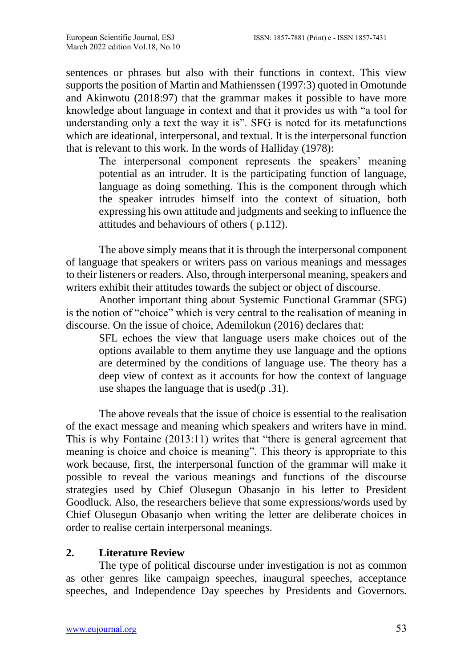sentences or phrases but also with their functions in context. This view supports the position of Martin and Mathienssen (1997:3) quoted in Omotunde and Akinwotu (2018:97) that the grammar makes it possible to have more knowledge about language in context and that it provides us with "a tool for understanding only a text the way it is". SFG is noted for its metafunctions which are ideational, interpersonal, and textual. It is the interpersonal function that is relevant to this work. In the words of Halliday (1978):

The interpersonal component represents the speakers' meaning potential as an intruder. It is the participating function of language, language as doing something. This is the component through which the speaker intrudes himself into the context of situation, both expressing his own attitude and judgments and seeking to influence the attitudes and behaviours of others ( p.112).

The above simply means that it is through the interpersonal component of language that speakers or writers pass on various meanings and messages to their listeners or readers. Also, through interpersonal meaning, speakers and writers exhibit their attitudes towards the subject or object of discourse.

Another important thing about Systemic Functional Grammar (SFG) is the notion of "choice" which is very central to the realisation of meaning in discourse. On the issue of choice, Ademilokun (2016) declares that:

SFL echoes the view that language users make choices out of the options available to them anytime they use language and the options are determined by the conditions of language use. The theory has a deep view of context as it accounts for how the context of language use shapes the language that is used(p .31).

The above reveals that the issue of choice is essential to the realisation of the exact message and meaning which speakers and writers have in mind. This is why Fontaine (2013:11) writes that "there is general agreement that meaning is choice and choice is meaning". This theory is appropriate to this work because, first, the interpersonal function of the grammar will make it possible to reveal the various meanings and functions of the discourse strategies used by Chief Olusegun Obasanjo in his letter to President Goodluck. Also, the researchers believe that some expressions/words used by Chief Olusegun Obasanjo when writing the letter are deliberate choices in order to realise certain interpersonal meanings.

## **2. Literature Review**

The type of political discourse under investigation is not as common as other genres like campaign speeches, inaugural speeches, acceptance speeches, and Independence Day speeches by Presidents and Governors.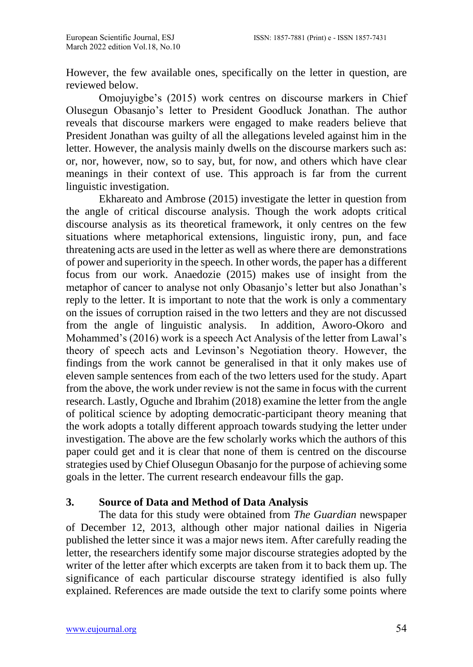However, the few available ones, specifically on the letter in question, are reviewed below.

Omojuyigbe's (2015) work centres on discourse markers in Chief Olusegun Obasanjo's letter to President Goodluck Jonathan. The author reveals that discourse markers were engaged to make readers believe that President Jonathan was guilty of all the allegations leveled against him in the letter. However, the analysis mainly dwells on the discourse markers such as: or, nor, however, now, so to say, but, for now, and others which have clear meanings in their context of use. This approach is far from the current linguistic investigation.

Ekhareato and Ambrose (2015) investigate the letter in question from the angle of critical discourse analysis. Though the work adopts critical discourse analysis as its theoretical framework, it only centres on the few situations where metaphorical extensions, linguistic irony, pun, and face threatening acts are used in the letter as well as where there are demonstrations of power and superiority in the speech. In other words, the paper has a different focus from our work. Anaedozie (2015) makes use of insight from the metaphor of cancer to analyse not only Obasanjo's letter but also Jonathan's reply to the letter. It is important to note that the work is only a commentary on the issues of corruption raised in the two letters and they are not discussed from the angle of linguistic analysis. In addition, Aworo-Okoro and Mohammed's (2016) work is a speech Act Analysis of the letter from Lawal's theory of speech acts and Levinson's Negotiation theory. However, the findings from the work cannot be generalised in that it only makes use of eleven sample sentences from each of the two letters used for the study. Apart from the above, the work under review is not the same in focus with the current research. Lastly, Oguche and Ibrahim (2018) examine the letter from the angle of political science by adopting democratic-participant theory meaning that the work adopts a totally different approach towards studying the letter under investigation. The above are the few scholarly works which the authors of this paper could get and it is clear that none of them is centred on the discourse strategies used by Chief Olusegun Obasanjo for the purpose of achieving some goals in the letter. The current research endeavour fills the gap.

## **3. Source of Data and Method of Data Analysis**

The data for this study were obtained from *The Guardian* newspaper of December 12, 2013, although other major national dailies in Nigeria published the letter since it was a major news item. After carefully reading the letter, the researchers identify some major discourse strategies adopted by the writer of the letter after which excerpts are taken from it to back them up. The significance of each particular discourse strategy identified is also fully explained. References are made outside the text to clarify some points where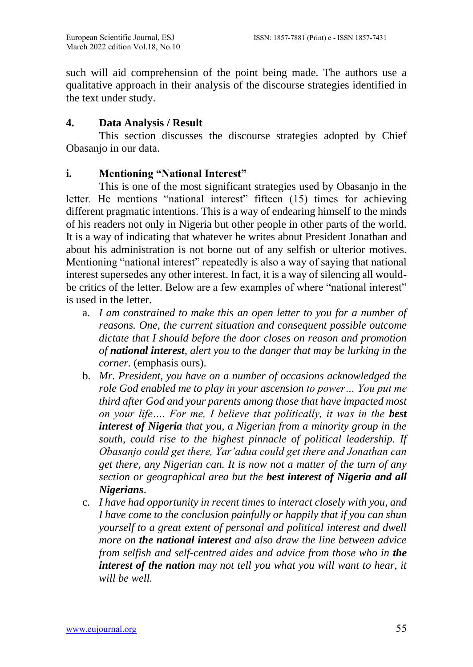such will aid comprehension of the point being made. The authors use a qualitative approach in their analysis of the discourse strategies identified in the text under study.

## **4. Data Analysis / Result**

This section discusses the discourse strategies adopted by Chief Obasanjo in our data.

## **i. Mentioning "National Interest"**

This is one of the most significant strategies used by Obasanjo in the letter. He mentions "national interest" fifteen (15) times for achieving different pragmatic intentions. This is a way of endearing himself to the minds of his readers not only in Nigeria but other people in other parts of the world. It is a way of indicating that whatever he writes about President Jonathan and about his administration is not borne out of any selfish or ulterior motives. Mentioning "national interest" repeatedly is also a way of saying that national interest supersedes any other interest. In fact, it is a way of silencing all wouldbe critics of the letter. Below are a few examples of where "national interest" is used in the letter.

- a. *I am constrained to make this an open letter to you for a number of reasons. One, the current situation and consequent possible outcome dictate that I should before the door closes on reason and promotion of national interest, alert you to the danger that may be lurking in the corner.* (emphasis ours).
- b. *Mr. President, you have on a number of occasions acknowledged the role God enabled me to play in your ascension to power… You put me third after God and your parents among those that have impacted most on your life.... For me, I believe that politically, it was in the best interest of Nigeria that you, a Nigerian from a minority group in the south, could rise to the highest pinnacle of political leadership. If Obasanjo could get there, Yar'adua could get there and Jonathan can get there, any Nigerian can. It is now not a matter of the turn of any section or geographical area but the best interest of Nigeria and all Nigerians*.
- c. *I have had opportunity in recent times to interact closely with you, and I have come to the conclusion painfully or happily that if you can shun yourself to a great extent of personal and political interest and dwell more on the national interest and also draw the line between advice from selfish and self-centred aides and advice from those who in the interest of the nation may not tell you what you will want to hear, it will be well.*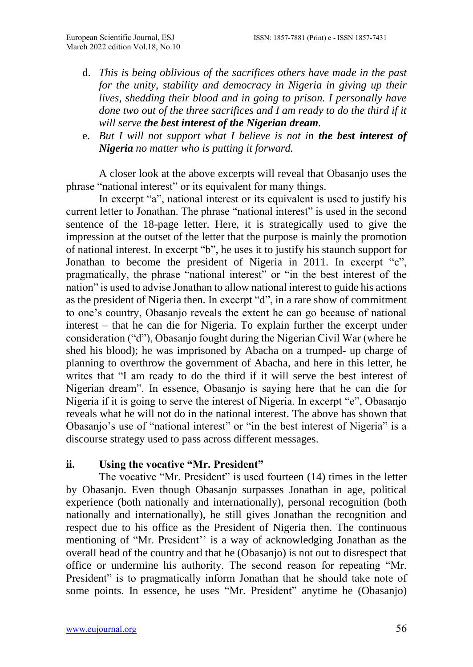- d. *This is being oblivious of the sacrifices others have made in the past for the unity, stability and democracy in Nigeria in giving up their lives, shedding their blood and in going to prison. I personally have done two out of the three sacrifices and I am ready to do the third if it will serve the best interest of the Nigerian dream.*
- e. *But I will not support what I believe is not in the best interest of Nigeria no matter who is putting it forward.*

A closer look at the above excerpts will reveal that Obasanjo uses the phrase "national interest" or its equivalent for many things.

In excerpt "a", national interest or its equivalent is used to justify his current letter to Jonathan. The phrase "national interest" is used in the second sentence of the 18-page letter. Here, it is strategically used to give the impression at the outset of the letter that the purpose is mainly the promotion of national interest. In excerpt "b", he uses it to justify his staunch support for Jonathan to become the president of Nigeria in 2011. In excerpt "c", pragmatically, the phrase "national interest" or "in the best interest of the nation" is used to advise Jonathan to allow national interest to guide his actions as the president of Nigeria then. In excerpt "d", in a rare show of commitment to one's country, Obasanjo reveals the extent he can go because of national interest – that he can die for Nigeria. To explain further the excerpt under consideration ("d"), Obasanjo fought during the Nigerian Civil War (where he shed his blood); he was imprisoned by Abacha on a trumped- up charge of planning to overthrow the government of Abacha, and here in this letter, he writes that "I am ready to do the third if it will serve the best interest of Nigerian dream". In essence, Obasanjo is saying here that he can die for Nigeria if it is going to serve the interest of Nigeria. In excerpt "e", Obasanjo reveals what he will not do in the national interest. The above has shown that Obasanjo's use of "national interest" or "in the best interest of Nigeria" is a discourse strategy used to pass across different messages.

#### **ii. Using the vocative "Mr. President"**

The vocative "Mr. President" is used fourteen (14) times in the letter by Obasanjo. Even though Obasanjo surpasses Jonathan in age, political experience (both nationally and internationally), personal recognition (both nationally and internationally), he still gives Jonathan the recognition and respect due to his office as the President of Nigeria then. The continuous mentioning of "Mr. President'' is a way of acknowledging Jonathan as the overall head of the country and that he (Obasanjo) is not out to disrespect that office or undermine his authority. The second reason for repeating "Mr. President" is to pragmatically inform Jonathan that he should take note of some points. In essence, he uses "Mr. President" anytime he (Obasanjo)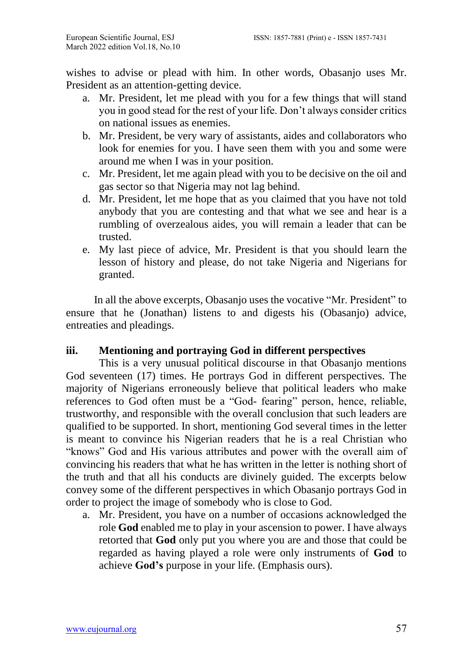wishes to advise or plead with him. In other words, Obasanjo uses Mr. President as an attention-getting device.

- a. Mr. President, let me plead with you for a few things that will stand you in good stead for the rest of your life. Don't always consider critics on national issues as enemies.
- b. Mr. President, be very wary of assistants, aides and collaborators who look for enemies for you. I have seen them with you and some were around me when I was in your position.
- c. Mr. President, let me again plead with you to be decisive on the oil and gas sector so that Nigeria may not lag behind.
- d. Mr. President, let me hope that as you claimed that you have not told anybody that you are contesting and that what we see and hear is a rumbling of overzealous aides, you will remain a leader that can be trusted.
- e. My last piece of advice, Mr. President is that you should learn the lesson of history and please, do not take Nigeria and Nigerians for granted.

 In all the above excerpts, Obasanjo uses the vocative "Mr. President" to ensure that he (Jonathan) listens to and digests his (Obasanjo) advice, entreaties and pleadings.

## **iii. Mentioning and portraying God in different perspectives**

This is a very unusual political discourse in that Obasanjo mentions God seventeen (17) times. He portrays God in different perspectives. The majority of Nigerians erroneously believe that political leaders who make references to God often must be a "God- fearing" person, hence, reliable, trustworthy, and responsible with the overall conclusion that such leaders are qualified to be supported. In short, mentioning God several times in the letter is meant to convince his Nigerian readers that he is a real Christian who "knows" God and His various attributes and power with the overall aim of convincing his readers that what he has written in the letter is nothing short of the truth and that all his conducts are divinely guided. The excerpts below convey some of the different perspectives in which Obasanjo portrays God in order to project the image of somebody who is close to God.

a. Mr. President, you have on a number of occasions acknowledged the role **God** enabled me to play in your ascension to power. I have always retorted that **God** only put you where you are and those that could be regarded as having played a role were only instruments of **God** to achieve **God's** purpose in your life. (Emphasis ours).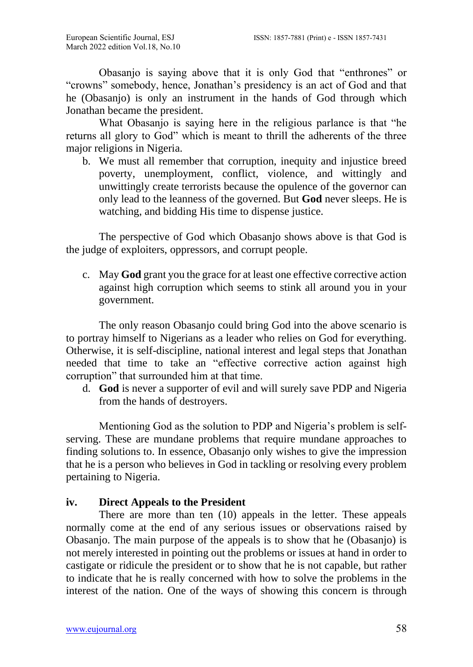Obasanjo is saying above that it is only God that "enthrones" or "crowns" somebody, hence, Jonathan's presidency is an act of God and that he (Obasanjo) is only an instrument in the hands of God through which Jonathan became the president.

What Obasanjo is saying here in the religious parlance is that "he returns all glory to God" which is meant to thrill the adherents of the three major religions in Nigeria.

b. We must all remember that corruption, inequity and injustice breed poverty, unemployment, conflict, violence, and wittingly and unwittingly create terrorists because the opulence of the governor can only lead to the leanness of the governed. But **God** never sleeps. He is watching, and bidding His time to dispense justice.

The perspective of God which Obasanjo shows above is that God is the judge of exploiters, oppressors, and corrupt people.

c. May **God** grant you the grace for at least one effective corrective action against high corruption which seems to stink all around you in your government.

The only reason Obasanjo could bring God into the above scenario is to portray himself to Nigerians as a leader who relies on God for everything. Otherwise, it is self-discipline, national interest and legal steps that Jonathan needed that time to take an "effective corrective action against high corruption" that surrounded him at that time.

d. **God** is never a supporter of evil and will surely save PDP and Nigeria from the hands of destroyers.

Mentioning God as the solution to PDP and Nigeria's problem is selfserving. These are mundane problems that require mundane approaches to finding solutions to. In essence, Obasanjo only wishes to give the impression that he is a person who believes in God in tackling or resolving every problem pertaining to Nigeria.

## **iv. Direct Appeals to the President**

There are more than ten (10) appeals in the letter. These appeals normally come at the end of any serious issues or observations raised by Obasanjo. The main purpose of the appeals is to show that he (Obasanjo) is not merely interested in pointing out the problems or issues at hand in order to castigate or ridicule the president or to show that he is not capable, but rather to indicate that he is really concerned with how to solve the problems in the interest of the nation. One of the ways of showing this concern is through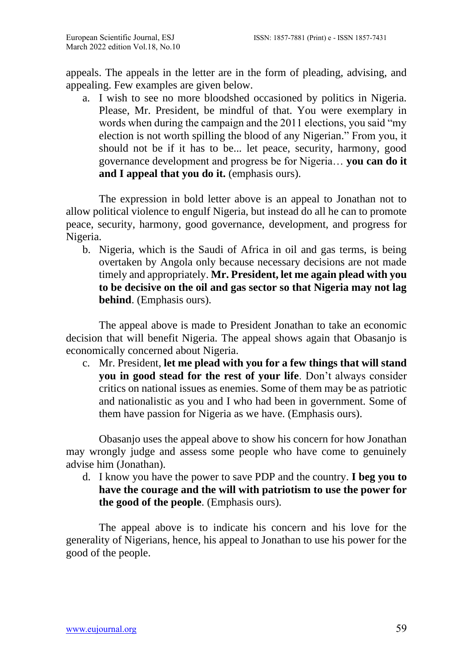appeals. The appeals in the letter are in the form of pleading, advising, and appealing. Few examples are given below.

a. I wish to see no more bloodshed occasioned by politics in Nigeria. Please, Mr. President, be mindful of that. You were exemplary in words when during the campaign and the 2011 elections, you said "my election is not worth spilling the blood of any Nigerian." From you, it should not be if it has to be... let peace, security, harmony, good governance development and progress be for Nigeria… **you can do it and I appeal that you do it.** (emphasis ours).

The expression in bold letter above is an appeal to Jonathan not to allow political violence to engulf Nigeria, but instead do all he can to promote peace, security, harmony, good governance, development, and progress for Nigeria.

b. Nigeria, which is the Saudi of Africa in oil and gas terms, is being overtaken by Angola only because necessary decisions are not made timely and appropriately. **Mr. President, let me again plead with you to be decisive on the oil and gas sector so that Nigeria may not lag behind**. (Emphasis ours).

The appeal above is made to President Jonathan to take an economic decision that will benefit Nigeria. The appeal shows again that Obasanjo is economically concerned about Nigeria.

c. Mr. President, **let me plead with you for a few things that will stand you in good stead for the rest of your life**. Don't always consider critics on national issues as enemies. Some of them may be as patriotic and nationalistic as you and I who had been in government. Some of them have passion for Nigeria as we have. (Emphasis ours).

Obasanjo uses the appeal above to show his concern for how Jonathan may wrongly judge and assess some people who have come to genuinely advise him (Jonathan).

d. I know you have the power to save PDP and the country. **I beg you to have the courage and the will with patriotism to use the power for the good of the people**. (Emphasis ours).

The appeal above is to indicate his concern and his love for the generality of Nigerians, hence, his appeal to Jonathan to use his power for the good of the people.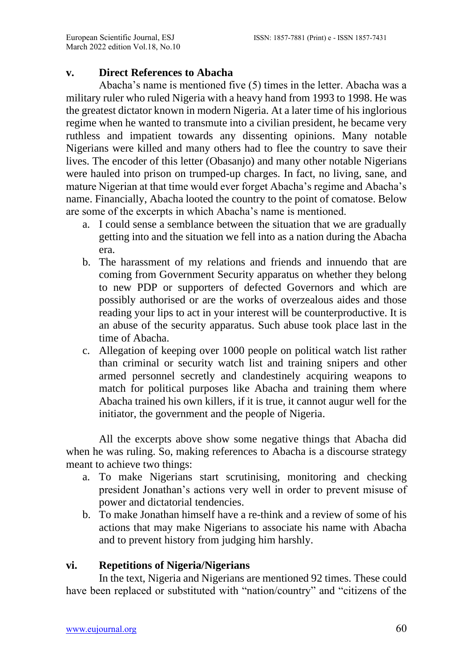## **v. Direct References to Abacha**

Abacha's name is mentioned five (5) times in the letter. Abacha was a military ruler who ruled Nigeria with a heavy hand from 1993 to 1998. He was the greatest dictator known in modern Nigeria. At a later time of his inglorious regime when he wanted to transmute into a civilian president, he became very ruthless and impatient towards any dissenting opinions. Many notable Nigerians were killed and many others had to flee the country to save their lives. The encoder of this letter (Obasanjo) and many other notable Nigerians were hauled into prison on trumped-up charges. In fact, no living, sane, and mature Nigerian at that time would ever forget Abacha's regime and Abacha's name. Financially, Abacha looted the country to the point of comatose. Below are some of the excerpts in which Abacha's name is mentioned.

- a. I could sense a semblance between the situation that we are gradually getting into and the situation we fell into as a nation during the Abacha era.
- b. The harassment of my relations and friends and innuendo that are coming from Government Security apparatus on whether they belong to new PDP or supporters of defected Governors and which are possibly authorised or are the works of overzealous aides and those reading your lips to act in your interest will be counterproductive. It is an abuse of the security apparatus. Such abuse took place last in the time of Abacha.
- c. Allegation of keeping over 1000 people on political watch list rather than criminal or security watch list and training snipers and other armed personnel secretly and clandestinely acquiring weapons to match for political purposes like Abacha and training them where Abacha trained his own killers, if it is true, it cannot augur well for the initiator, the government and the people of Nigeria.

All the excerpts above show some negative things that Abacha did when he was ruling. So, making references to Abacha is a discourse strategy meant to achieve two things:

- a. To make Nigerians start scrutinising, monitoring and checking president Jonathan's actions very well in order to prevent misuse of power and dictatorial tendencies.
- b. To make Jonathan himself have a re-think and a review of some of his actions that may make Nigerians to associate his name with Abacha and to prevent history from judging him harshly.

## **vi. Repetitions of Nigeria/Nigerians**

In the text, Nigeria and Nigerians are mentioned 92 times. These could have been replaced or substituted with "nation/country" and "citizens of the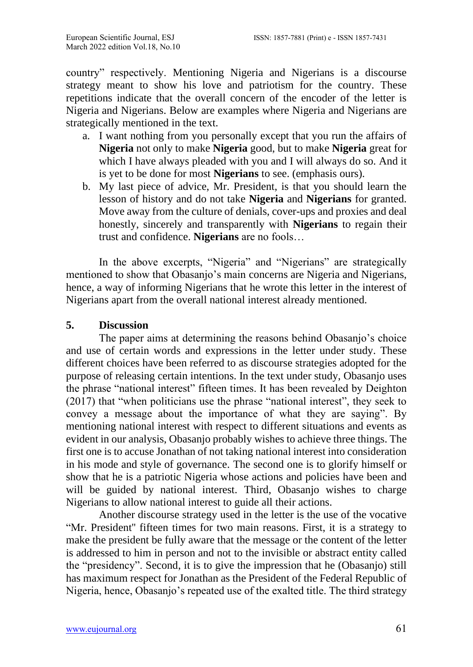country" respectively. Mentioning Nigeria and Nigerians is a discourse strategy meant to show his love and patriotism for the country. These repetitions indicate that the overall concern of the encoder of the letter is Nigeria and Nigerians. Below are examples where Nigeria and Nigerians are strategically mentioned in the text.

- a. I want nothing from you personally except that you run the affairs of **Nigeria** not only to make **Nigeria** good, but to make **Nigeria** great for which I have always pleaded with you and I will always do so. And it is yet to be done for most **Nigerians** to see. (emphasis ours).
- b. My last piece of advice, Mr. President, is that you should learn the lesson of history and do not take **Nigeria** and **Nigerians** for granted. Move away from the culture of denials, cover-ups and proxies and deal honestly, sincerely and transparently with **Nigerians** to regain their trust and confidence. **Nigerians** are no fools…

In the above excerpts, "Nigeria" and "Nigerians" are strategically mentioned to show that Obasanjo's main concerns are Nigeria and Nigerians, hence, a way of informing Nigerians that he wrote this letter in the interest of Nigerians apart from the overall national interest already mentioned.

#### **5. Discussion**

The paper aims at determining the reasons behind Obasanjo's choice and use of certain words and expressions in the letter under study. These different choices have been referred to as discourse strategies adopted for the purpose of releasing certain intentions. In the text under study, Obasanjo uses the phrase "national interest" fifteen times. It has been revealed by Deighton (2017) that "when politicians use the phrase "national interest", they seek to convey a message about the importance of what they are saying". By mentioning national interest with respect to different situations and events as evident in our analysis, Obasanjo probably wishes to achieve three things. The first one is to accuse Jonathan of not taking national interest into consideration in his mode and style of governance. The second one is to glorify himself or show that he is a patriotic Nigeria whose actions and policies have been and will be guided by national interest. Third, Obasanjo wishes to charge Nigerians to allow national interest to guide all their actions.

Another discourse strategy used in the letter is the use of the vocative "Mr. President'' fifteen times for two main reasons. First, it is a strategy to make the president be fully aware that the message or the content of the letter is addressed to him in person and not to the invisible or abstract entity called the "presidency". Second, it is to give the impression that he (Obasanjo) still has maximum respect for Jonathan as the President of the Federal Republic of Nigeria, hence, Obasanjo's repeated use of the exalted title. The third strategy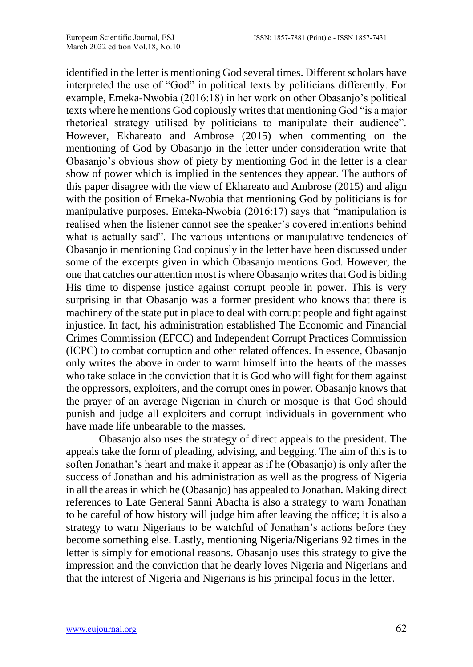identified in the letter is mentioning God several times. Different scholars have interpreted the use of "God" in political texts by politicians differently. For example, Emeka-Nwobia (2016:18) in her work on other Obasanjo's political texts where he mentions God copiously writes that mentioning God "is a major rhetorical strategy utilised by politicians to manipulate their audience". However, Ekhareato and Ambrose (2015) when commenting on the mentioning of God by Obasanjo in the letter under consideration write that Obasanjo's obvious show of piety by mentioning God in the letter is a clear show of power which is implied in the sentences they appear. The authors of this paper disagree with the view of Ekhareato and Ambrose (2015) and align with the position of Emeka-Nwobia that mentioning God by politicians is for manipulative purposes. Emeka-Nwobia (2016:17) says that "manipulation is realised when the listener cannot see the speaker's covered intentions behind what is actually said". The various intentions or manipulative tendencies of Obasanjo in mentioning God copiously in the letter have been discussed under some of the excerpts given in which Obasanjo mentions God. However, the one that catches our attention most is where Obasanjo writes that God is biding His time to dispense justice against corrupt people in power. This is very surprising in that Obasanjo was a former president who knows that there is machinery of the state put in place to deal with corrupt people and fight against injustice. In fact, his administration established The Economic and Financial Crimes Commission (EFCC) and Independent Corrupt Practices Commission (ICPC) to combat corruption and other related offences. In essence, Obasanjo only writes the above in order to warm himself into the hearts of the masses who take solace in the conviction that it is God who will fight for them against the oppressors, exploiters, and the corrupt ones in power. Obasanjo knows that the prayer of an average Nigerian in church or mosque is that God should punish and judge all exploiters and corrupt individuals in government who have made life unbearable to the masses.

Obasanjo also uses the strategy of direct appeals to the president. The appeals take the form of pleading, advising, and begging. The aim of this is to soften Jonathan's heart and make it appear as if he (Obasanjo) is only after the success of Jonathan and his administration as well as the progress of Nigeria in all the areas in which he (Obasanjo) has appealed to Jonathan. Making direct references to Late General Sanni Abacha is also a strategy to warn Jonathan to be careful of how history will judge him after leaving the office; it is also a strategy to warn Nigerians to be watchful of Jonathan's actions before they become something else. Lastly, mentioning Nigeria/Nigerians 92 times in the letter is simply for emotional reasons. Obasanjo uses this strategy to give the impression and the conviction that he dearly loves Nigeria and Nigerians and that the interest of Nigeria and Nigerians is his principal focus in the letter.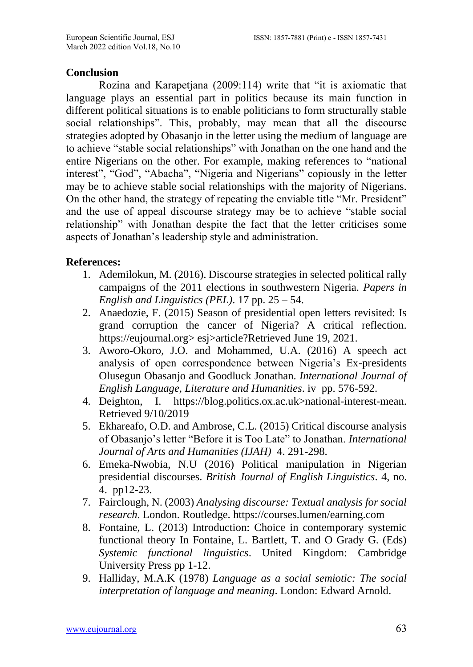#### **Conclusion**

Rozina and Karapetjana (2009:114) write that "it is axiomatic that language plays an essential part in politics because its main function in different political situations is to enable politicians to form structurally stable social relationships". This, probably, may mean that all the discourse strategies adopted by Obasanjo in the letter using the medium of language are to achieve "stable social relationships" with Jonathan on the one hand and the entire Nigerians on the other. For example, making references to "national interest", "God", "Abacha", "Nigeria and Nigerians" copiously in the letter may be to achieve stable social relationships with the majority of Nigerians. On the other hand, the strategy of repeating the enviable title "Mr. President" and the use of appeal discourse strategy may be to achieve "stable social relationship" with Jonathan despite the fact that the letter criticises some aspects of Jonathan's leadership style and administration.

## **References:**

- 1. Ademilokun, M. (2016). Discourse strategies in selected political rally campaigns of the 2011 elections in southwestern Nigeria. *Papers in English and Linguistics (PEL)*. 17 pp. 25 – 54.
- 2. Anaedozie, F. (2015) Season of presidential open letters revisited: Is grand corruption the cancer of Nigeria? A critical reflection. https://eujournal.org> esj>article?Retrieved June 19, 2021.
- 3. Aworo-Okoro, J.O. and Mohammed, U.A. (2016) A speech act analysis of open correspondence between Nigeria's Ex-presidents Olusegun Obasanjo and Goodluck Jonathan. *International Journal of English Language, Literature and Humanities*. iv pp. 576-592.
- 4. Deighton, I. https://blog.politics.ox.ac.uk>national-interest-mean. Retrieved 9/10/2019
- 5. Ekhareafo, O.D. and Ambrose, C.L. (2015) Critical discourse analysis of Obasanjo's letter "Before it is Too Late" to Jonathan. *International Journal of Arts and Humanities (IJAH)* 4. 291-298.
- 6. Emeka-Nwobia, N.U (2016) Political manipulation in Nigerian presidential discourses. *British Journal of English Linguistics*. 4, no. 4. pp12-23.
- 7. Fairclough, N. (2003) *Analysing discourse: Textual analysis for social research*. London. Routledge. https://courses.lumen/earning.com
- 8. Fontaine, L. (2013) Introduction: Choice in contemporary systemic functional theory In Fontaine, L. Bartlett, T. and O Grady G. (Eds) *Systemic functional linguistics*. United Kingdom: Cambridge University Press pp 1-12.
- 9. Halliday, M.A.K (1978) *Language as a social semiotic: The social interpretation of language and meaning*. London: Edward Arnold.